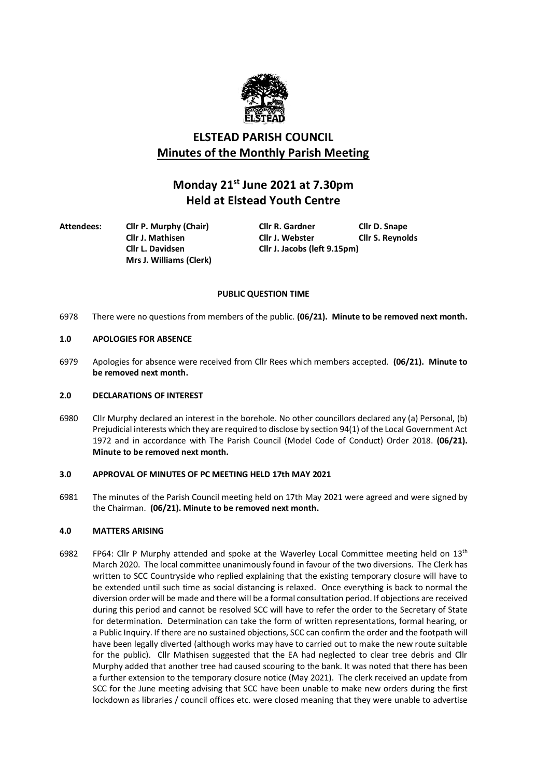

# **ELSTEAD PARISH COUNCIL Minutes of the Monthly Parish Meeting**

# **Monday 21st June 2021 at 7.30pm Held at Elstead Youth Centre**

**Attendees: Cllr P. Murphy (Chair) Cllr R. Gardner Cllr D. Snape Mrs J. Williams (Clerk)**

**Cllr J. Mathisen Cllr J. Webster Cllr S. Reynolds Cllr L. Davidsen Cllr J. Jacobs (left 9.15pm)**

## **PUBLIC QUESTION TIME**

6978 There were no questions from members of the public. **(06/21). Minute to be removed next month.**

## **1.0 APOLOGIES FOR ABSENCE**

6979 Apologies for absence were received from Cllr Rees which members accepted. **(06/21). Minute to be removed next month.**

## **2.0 DECLARATIONS OF INTEREST**

6980 Cllr Murphy declared an interest in the borehole. No other councillors declared any (a) Personal, (b) Prejudicial interests which they are required to disclose by section 94(1) of the Local Government Act 1972 and in accordance with The Parish Council (Model Code of Conduct) Order 2018. **(06/21). Minute to be removed next month.**

## **3.0 APPROVAL OF MINUTES OF PC MEETING HELD 17th MAY 2021**

6981 The minutes of the Parish Council meeting held on 17th May 2021 were agreed and were signed by the Chairman. **(06/21). Minute to be removed next month.**

## **4.0 MATTERS ARISING**

6982 FP64: Cllr P Murphy attended and spoke at the Waverley Local Committee meeting held on 13<sup>th</sup> March 2020. The local committee unanimously found in favour of the two diversions. The Clerk has written to SCC Countryside who replied explaining that the existing temporary closure will have to be extended until such time as social distancing is relaxed. Once everything is back to normal the diversion order will be made and there will be a formal consultation period. If objections are received during this period and cannot be resolved SCC will have to refer the order to the Secretary of State for determination. Determination can take the form of written representations, formal hearing, or a Public Inquiry. If there are no sustained objections, SCC can confirm the order and the footpath will have been legally diverted (although works may have to carried out to make the new route suitable for the public). Cllr Mathisen suggested that the EA had neglected to clear tree debris and Cllr Murphy added that another tree had caused scouring to the bank. It was noted that there has been a further extension to the temporary closure notice (May 2021). The clerk received an update from SCC for the June meeting advising that SCC have been unable to make new orders during the first lockdown as libraries / council offices etc. were closed meaning that they were unable to advertise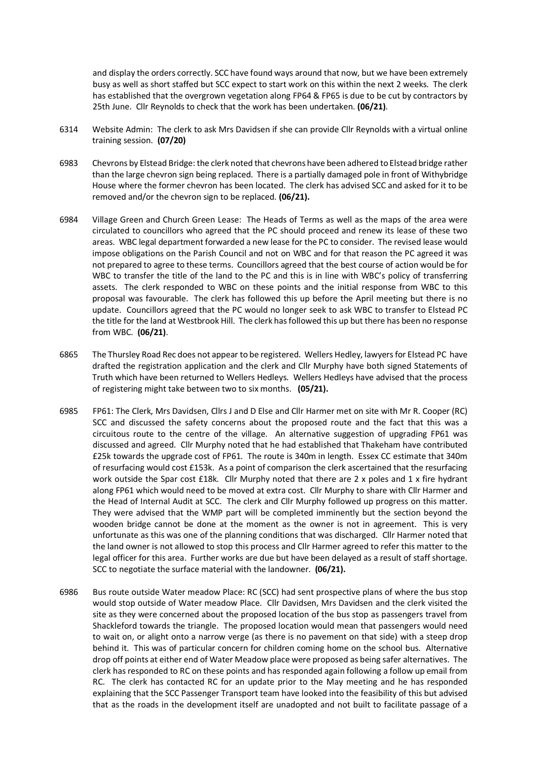and display the orders correctly. SCC have found ways around that now, but we have been extremely busy as well as short staffed but SCC expect to start work on this within the next 2 weeks. The clerk has established that the overgrown vegetation along FP64 & FP65 is due to be cut by contractors by 25th June. Cllr Reynolds to check that the work has been undertaken. **(06/21)**.

- 6314 Website Admin: The clerk to ask Mrs Davidsen if she can provide Cllr Reynolds with a virtual online training session. **(07/20)**
- 6983 Chevrons by Elstead Bridge: the clerk noted that chevrons have been adhered to Elstead bridge rather than the large chevron sign being replaced. There is a partially damaged pole in front of Withybridge House where the former chevron has been located. The clerk has advised SCC and asked for it to be removed and/or the chevron sign to be replaced. **(06/21).**
- 6984 Village Green and Church Green Lease: The Heads of Terms as well as the maps of the area were circulated to councillors who agreed that the PC should proceed and renew its lease of these two areas. WBC legal department forwarded a new lease for the PC to consider. The revised lease would impose obligations on the Parish Council and not on WBC and for that reason the PC agreed it was not prepared to agree to these terms. Councillors agreed that the best course of action would be for WBC to transfer the title of the land to the PC and this is in line with WBC's policy of transferring assets. The clerk responded to WBC on these points and the initial response from WBC to this proposal was favourable. The clerk has followed this up before the April meeting but there is no update. Councillors agreed that the PC would no longer seek to ask WBC to transfer to Elstead PC the title for the land at Westbrook Hill. The clerk has followed this up but there has been no response from WBC. **(06/21)**.
- 6865 The Thursley Road Rec does not appear to be registered. Wellers Hedley, lawyers for Elstead PC have drafted the registration application and the clerk and Cllr Murphy have both signed Statements of Truth which have been returned to Wellers Hedleys. Wellers Hedleys have advised that the process of registering might take between two to six months. **(05/21).**
- 6985 FP61: The Clerk, Mrs Davidsen, Cllrs J and D Else and Cllr Harmer met on site with Mr R. Cooper (RC) SCC and discussed the safety concerns about the proposed route and the fact that this was a circuitous route to the centre of the village. An alternative suggestion of upgrading FP61 was discussed and agreed. Cllr Murphy noted that he had established that Thakeham have contributed £25k towards the upgrade cost of FP61. The route is 340m in length. Essex CC estimate that 340m of resurfacing would cost £153k. As a point of comparison the clerk ascertained that the resurfacing work outside the Spar cost £18k. Cllr Murphy noted that there are 2 x poles and 1 x fire hydrant along FP61 which would need to be moved at extra cost. Cllr Murphy to share with Cllr Harmer and the Head of Internal Audit at SCC. The clerk and Cllr Murphy followed up progress on this matter. They were advised that the WMP part will be completed imminently but the section beyond the wooden bridge cannot be done at the moment as the owner is not in agreement. This is very unfortunate as this was one of the planning conditions that was discharged. Cllr Harmer noted that the land owner is not allowed to stop this process and Cllr Harmer agreed to refer this matter to the legal officer for this area. Further works are due but have been delayed as a result of staff shortage. SCC to negotiate the surface material with the landowner. **(06/21).**
- 6986 Bus route outside Water meadow Place: RC (SCC) had sent prospective plans of where the bus stop would stop outside of Water meadow Place. Cllr Davidsen, Mrs Davidsen and the clerk visited the site as they were concerned about the proposed location of the bus stop as passengers travel from Shackleford towards the triangle. The proposed location would mean that passengers would need to wait on, or alight onto a narrow verge (as there is no pavement on that side) with a steep drop behind it. This was of particular concern for children coming home on the school bus. Alternative drop off points at either end of Water Meadow place were proposed as being safer alternatives. The clerk has responded to RC on these points and has responded again following a follow up email from RC. The clerk has contacted RC for an update prior to the May meeting and he has responded explaining that the SCC Passenger Transport team have looked into the feasibility of this but advised that as the roads in the development itself are unadopted and not built to facilitate passage of a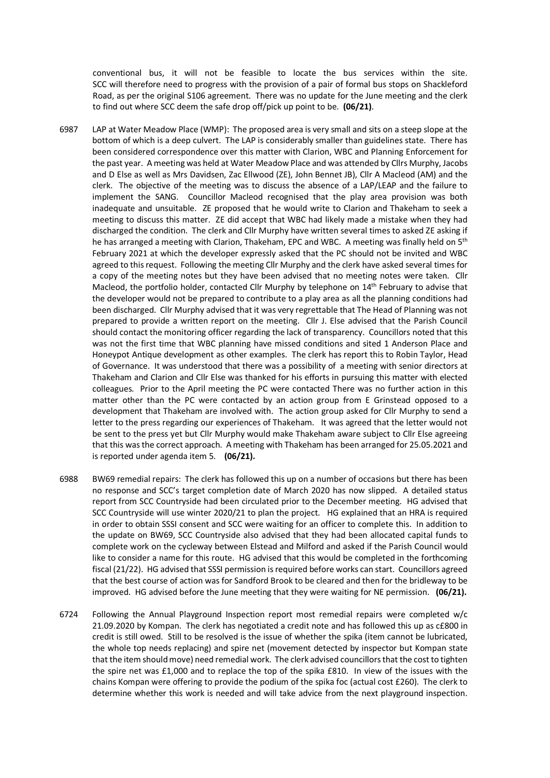conventional bus, it will not be feasible to locate the bus services within the site. SCC will therefore need to progress with the provision of a pair of formal bus stops on Shackleford Road, as per the original S106 agreement. There was no update for the June meeting and the clerk to find out where SCC deem the safe drop off/pick up point to be. **(06/21)**.

- 6987 LAP at Water Meadow Place (WMP): The proposed area is very small and sits on a steep slope at the bottom of which is a deep culvert. The LAP is considerably smaller than guidelines state. There has been considered correspondence over this matter with Clarion, WBC and Planning Enforcement for the past year. A meeting was held at Water Meadow Place and was attended by Cllrs Murphy, Jacobs and D Else as well as Mrs Davidsen, Zac Ellwood (ZE), John Bennet JB), Cllr A Macleod (AM) and the clerk. The objective of the meeting was to discuss the absence of a LAP/LEAP and the failure to implement the SANG. Councillor Macleod recognised that the play area provision was both inadequate and unsuitable. ZE proposed that he would write to Clarion and Thakeham to seek a meeting to discuss this matter. ZE did accept that WBC had likely made a mistake when they had discharged the condition. The clerk and Cllr Murphy have written several times to asked ZE asking if he has arranged a meeting with Clarion, Thakeham, EPC and WBC. A meeting was finally held on 5<sup>th</sup> February 2021 at which the developer expressly asked that the PC should not be invited and WBC agreed to this request. Following the meeting Cllr Murphy and the clerk have asked several times for a copy of the meeting notes but they have been advised that no meeting notes were taken. Cllr Macleod, the portfolio holder, contacted Cllr Murphy by telephone on 14<sup>th</sup> February to advise that the developer would not be prepared to contribute to a play area as all the planning conditions had been discharged. Cllr Murphy advised that it was very regrettable that The Head of Planning was not prepared to provide a written report on the meeting. Cllr J. Else advised that the Parish Council should contact the monitoring officer regarding the lack of transparency. Councillors noted that this was not the first time that WBC planning have missed conditions and sited 1 Anderson Place and Honeypot Antique development as other examples. The clerk has report this to Robin Taylor, Head of Governance. It was understood that there was a possibility of a meeting with senior directors at Thakeham and Clarion and Cllr Else was thanked for his efforts in pursuing this matter with elected colleagues. Prior to the April meeting the PC were contacted There was no further action in this matter other than the PC were contacted by an action group from E Grinstead opposed to a development that Thakeham are involved with. The action group asked for Cllr Murphy to send a letter to the press regarding our experiences of Thakeham. It was agreed that the letter would not be sent to the press yet but Cllr Murphy would make Thakeham aware subject to Cllr Else agreeing that this was the correct approach. A meeting with Thakeham has been arranged for 25.05.2021 and is reported under agenda item 5. **(06/21).**
- 6988 BW69 remedial repairs: The clerk has followed this up on a number of occasions but there has been no response and SCC's target completion date of March 2020 has now slipped. A detailed status report from SCC Countryside had been circulated prior to the December meeting. HG advised that SCC Countryside will use winter 2020/21 to plan the project. HG explained that an HRA is required in order to obtain SSSI consent and SCC were waiting for an officer to complete this. In addition to the update on BW69, SCC Countryside also advised that they had been allocated capital funds to complete work on the cycleway between Elstead and Milford and asked if the Parish Council would like to consider a name for this route. HG advised that this would be completed in the forthcoming fiscal (21/22). HG advised that SSSI permission is required before works can start. Councillors agreed that the best course of action was for Sandford Brook to be cleared and then for the bridleway to be improved. HG advised before the June meeting that they were waiting for NE permission. **(06/21).**
- 6724 Following the Annual Playground Inspection report most remedial repairs were completed w/c 21.09.2020 by Kompan. The clerk has negotiated a credit note and has followed this up as c£800 in credit is still owed. Still to be resolved is the issue of whether the spika (item cannot be lubricated, the whole top needs replacing) and spire net (movement detected by inspector but Kompan state that the item should move) need remedial work. The clerk advised councillors that the cost to tighten the spire net was £1,000 and to replace the top of the spika £810. In view of the issues with the chains Kompan were offering to provide the podium of the spika foc (actual cost £260). The clerk to determine whether this work is needed and will take advice from the next playground inspection.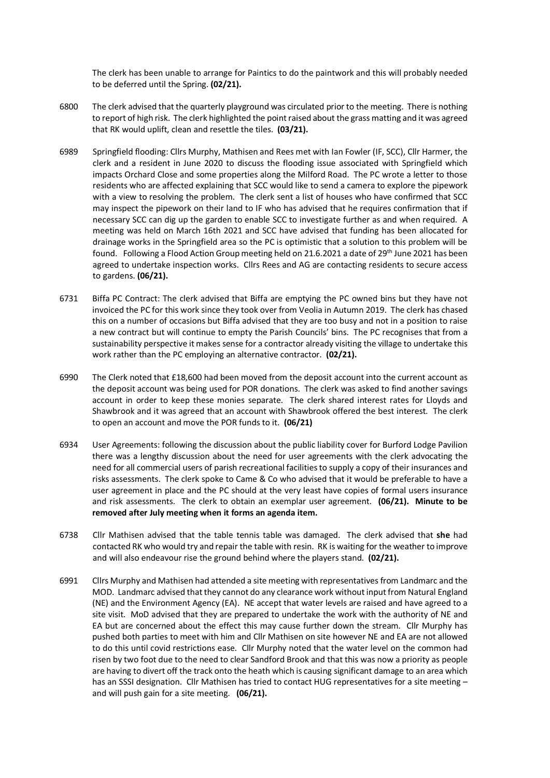The clerk has been unable to arrange for Paintics to do the paintwork and this will probably needed to be deferred until the Spring. **(02/21).**

- 6800 The clerk advised that the quarterly playground was circulated prior to the meeting. There is nothing to report of high risk. The clerk highlighted the point raised about the grass matting and it was agreed that RK would uplift, clean and resettle the tiles. **(03/21).**
- 6989 Springfield flooding: Cllrs Murphy, Mathisen and Rees met with Ian Fowler (IF, SCC), Cllr Harmer, the clerk and a resident in June 2020 to discuss the flooding issue associated with Springfield which impacts Orchard Close and some properties along the Milford Road. The PC wrote a letter to those residents who are affected explaining that SCC would like to send a camera to explore the pipework with a view to resolving the problem. The clerk sent a list of houses who have confirmed that SCC may inspect the pipework on their land to IF who has advised that he requires confirmation that if necessary SCC can dig up the garden to enable SCC to investigate further as and when required. A meeting was held on March 16th 2021 and SCC have advised that funding has been allocated for drainage works in the Springfield area so the PC is optimistic that a solution to this problem will be found. Following a Flood Action Group meeting held on 21.6.2021 a date of 29<sup>th</sup> June 2021 has been agreed to undertake inspection works. Cllrs Rees and AG are contacting residents to secure access to gardens. **(06/21).**
- 6731 Biffa PC Contract: The clerk advised that Biffa are emptying the PC owned bins but they have not invoiced the PC for this work since they took over from Veolia in Autumn 2019. The clerk has chased this on a number of occasions but Biffa advised that they are too busy and not in a position to raise a new contract but will continue to empty the Parish Councils' bins. The PC recognises that from a sustainability perspective it makes sense for a contractor already visiting the village to undertake this work rather than the PC employing an alternative contractor. **(02/21).**
- 6990 The Clerk noted that £18,600 had been moved from the deposit account into the current account as the deposit account was being used for POR donations. The clerk was asked to find another savings account in order to keep these monies separate. The clerk shared interest rates for Lloyds and Shawbrook and it was agreed that an account with Shawbrook offered the best interest. The clerk to open an account and move the POR funds to it. **(06/21)**
- 6934 User Agreements: following the discussion about the public liability cover for Burford Lodge Pavilion there was a lengthy discussion about the need for user agreements with the clerk advocating the need for all commercial users of parish recreational facilities to supply a copy of their insurances and risks assessments. The clerk spoke to Came & Co who advised that it would be preferable to have a user agreement in place and the PC should at the very least have copies of formal users insurance and risk assessments. The clerk to obtain an exemplar user agreement. **(06/21). Minute to be removed after July meeting when it forms an agenda item.**
- 6738 Cllr Mathisen advised that the table tennis table was damaged. The clerk advised that **she** had contacted RK who would try and repair the table with resin. RK is waiting for the weather to improve and will also endeavour rise the ground behind where the players stand. **(02/21).**
- 6991 Cllrs Murphy and Mathisen had attended a site meeting with representatives from Landmarc and the MOD. Landmarc advised that they cannot do any clearance work without input from Natural England (NE) and the Environment Agency (EA). NE accept that water levels are raised and have agreed to a site visit. MoD advised that they are prepared to undertake the work with the authority of NE and EA but are concerned about the effect this may cause further down the stream. Cllr Murphy has pushed both parties to meet with him and Cllr Mathisen on site however NE and EA are not allowed to do this until covid restrictions ease. Cllr Murphy noted that the water level on the common had risen by two foot due to the need to clear Sandford Brook and that this was now a priority as people are having to divert off the track onto the heath which is causing significant damage to an area which has an SSSI designation. Cllr Mathisen has tried to contact HUG representatives for a site meeting and will push gain for a site meeting. **(06/21).**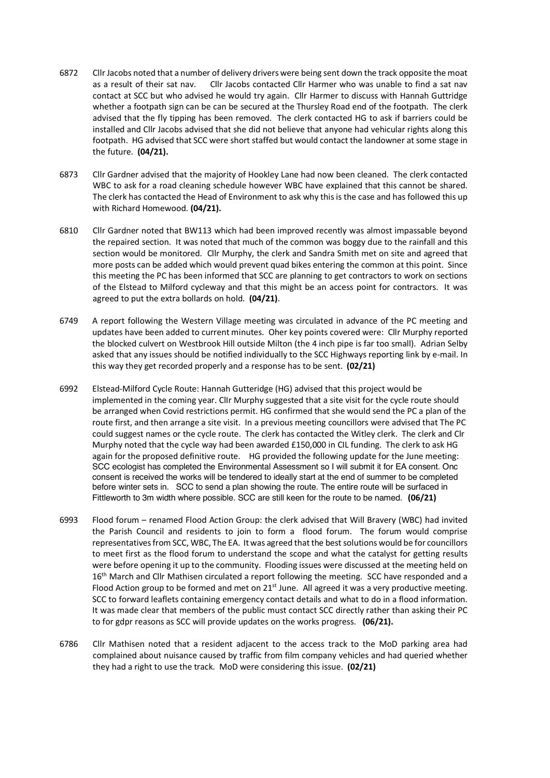- 6872 Cllr Jacobs noted that a number of delivery drivers were being sent down the track opposite the moat as a result of their sat nav. Cllr Jacobs contacted Cllr Harmer who was unable to find a sat nav contact at SCC but who advised he would try again. Cllr Harmer to discuss with Hannah Guttridge whether a footpath sign can be can be secured at the Thursley Road end of the footpath. The clerk advised that the fly tipping has been removed. The clerk contacted HG to ask if barriers could be installed and Cllr Jacobs advised that she did not believe that anyone had vehicular rights along this footpath. HG advised that SCC were short staffed but would contact the landowner at some stage in the future. **(04/21).**
- 6873 Cllr Gardner advised that the majority of Hookley Lane had now been cleaned. The clerk contacted WBC to ask for a road cleaning schedule however WBC have explained that this cannot be shared. The clerk has contacted the Head of Environment to ask why this is the case and has followed this up with Richard Homewood. **(04/21).**
- 6810 Cllr Gardner noted that BW113 which had been improved recently was almost impassable beyond the repaired section. It was noted that much of the common was boggy due to the rainfall and this section would be monitored. Cllr Murphy, the clerk and Sandra Smith met on site and agreed that more posts can be added which would prevent quad bikes entering the common at this point. Since this meeting the PC has been informed that SCC are planning to get contractors to work on sections of the Elstead to Milford cycleway and that this might be an access point for contractors. It was agreed to put the extra bollards on hold. **(04/21)**.
- 6749 A report following the Western Village meeting was circulated in advance of the PC meeting and updates have been added to current minutes. Oher key points covered were: Cllr Murphy reported the blocked culvert on Westbrook Hill outside Milton (the 4 inch pipe is far too small). Adrian Selby asked that any issues should be notified individually to the SCC Highways reporting link by e-mail. In this way they get recorded properly and a response has to be sent. **(02/21)**
- 6992 Elstead-Milford Cycle Route: Hannah Gutteridge (HG) advised that this project would be implemented in the coming year. ClIr Murphy suggested that a site visit for the cycle route should be arranged when Covid restrictions permit. HG confirmed that she would send the PC a plan of the route first, and then arrange a site visit. In a previous meeting councillors were advised that The PC could suggest names or the cycle route. The clerk has contacted the Witley clerk. The clerk and Clr Murphy noted that the cycle way had been awarded £150,000 in CIL funding. The clerk to ask HG again for the proposed definitive route. HG provided the following update for the June meeting: SCC ecologist has completed the Environmental Assessment so I will submit it for EA consent. Onc consent is received the works will be tendered to ideally start at the end of summer to be completed before winter sets in. SCC to send a plan showing the route. The entire route will be surfaced in Fittleworth to 3m width where possible. SCC are still keen for the route to be named. **(06/21)**
- 6993 Flood forum renamed Flood Action Group: the clerk advised that Will Bravery (WBC) had invited the Parish Council and residents to join to form a flood forum. The forum would comprise representatives from SCC, WBC, The EA. It was agreed that the best solutions would be for councillors to meet first as the flood forum to understand the scope and what the catalyst for getting results were before opening it up to the community. Flooding issues were discussed at the meeting held on 16<sup>th</sup> March and Cllr Mathisen circulated a report following the meeting. SCC have responded and a Flood Action group to be formed and met on  $21<sup>st</sup>$  June. All agreed it was a very productive meeting. SCC to forward leaflets containing emergency contact details and what to do in a flood information. It was made clear that members of the public must contact SCC directly rather than asking their PC to for gdpr reasons as SCC will provide updates on the works progress. **(06/21).**
- 6786 Cllr Mathisen noted that a resident adjacent to the access track to the MoD parking area had complained about nuisance caused by traffic from film company vehicles and had queried whether they had a right to use the track. MoD were considering this issue. **(02/21)**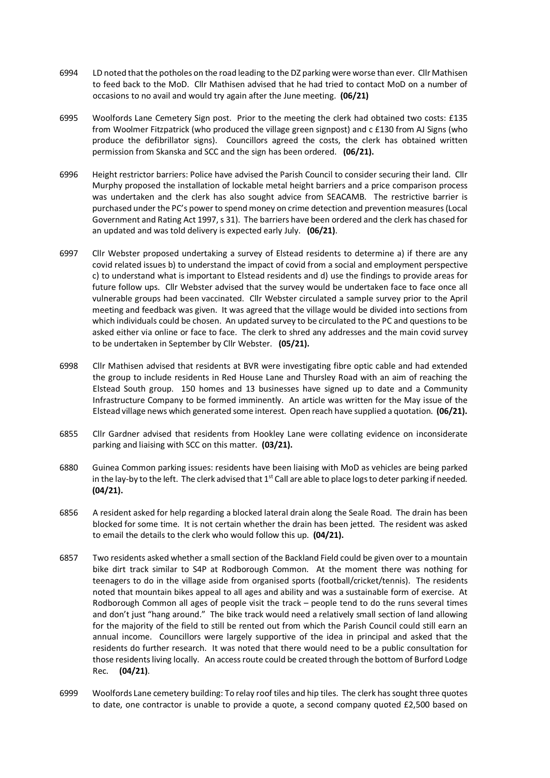- 6994 LD noted that the potholes on the road leading to the DZ parking were worse than ever. Cllr Mathisen to feed back to the MoD. Cllr Mathisen advised that he had tried to contact MoD on a number of occasions to no avail and would try again after the June meeting. **(06/21)**
- 6995 Woolfords Lane Cemetery Sign post. Prior to the meeting the clerk had obtained two costs: £135 from Woolmer Fitzpatrick (who produced the village green signpost) and c £130 from AJ Signs (who produce the defibrillator signs). Councillors agreed the costs, the clerk has obtained written permission from Skanska and SCC and the sign has been ordered. **(06/21).**
- 6996 Height restrictor barriers: Police have advised the Parish Council to consider securing their land. Cllr Murphy proposed the installation of lockable metal height barriers and a price comparison process was undertaken and the clerk has also sought advice from SEACAMB. The restrictive barrier is purchased under the PC's power to spend money on crime detection and prevention measures (Local Government and Rating Act 1997, s 31). The barriers have been ordered and the clerk has chased for an updated and was told delivery is expected early July. **(06/21)**.
- 6997 Cllr Webster proposed undertaking a survey of Elstead residents to determine a) if there are any covid related issues b) to understand the impact of covid from a social and employment perspective c) to understand what is important to Elstead residents and d) use the findings to provide areas for future follow ups. Cllr Webster advised that the survey would be undertaken face to face once all vulnerable groups had been vaccinated. Cllr Webster circulated a sample survey prior to the April meeting and feedback was given. It was agreed that the village would be divided into sections from which individuals could be chosen. An updated survey to be circulated to the PC and questions to be asked either via online or face to face. The clerk to shred any addresses and the main covid survey to be undertaken in September by Cllr Webster. **(05/21).**
- 6998 Cllr Mathisen advised that residents at BVR were investigating fibre optic cable and had extended the group to include residents in Red House Lane and Thursley Road with an aim of reaching the Elstead South group. 150 homes and 13 businesses have signed up to date and a Community Infrastructure Company to be formed imminently. An article was written for the May issue of the Elstead village news which generated some interest. Open reach have supplied a quotation. **(06/21).**
- 6855 Cllr Gardner advised that residents from Hookley Lane were collating evidence on inconsiderate parking and liaising with SCC on this matter. **(03/21).**
- 6880 Guinea Common parking issues: residents have been liaising with MoD as vehicles are being parked in the lay-by to the left. The clerk advised that  $1<sup>st</sup>$  Call are able to place logs to deter parking if needed. **(04/21).**
- 6856 A resident asked for help regarding a blocked lateral drain along the Seale Road. The drain has been blocked for some time. It is not certain whether the drain has been jetted. The resident was asked to email the details to the clerk who would follow this up. **(04/21).**
- 6857 Two residents asked whether a small section of the Backland Field could be given over to a mountain bike dirt track similar to S4P at Rodborough Common. At the moment there was nothing for teenagers to do in the village aside from organised sports (football/cricket/tennis). The residents noted that mountain bikes appeal to all ages and ability and was a sustainable form of exercise. At Rodborough Common all ages of people visit the track – people tend to do the runs several times and don't just "hang around." The bike track would need a relatively small section of land allowing for the majority of the field to still be rented out from which the Parish Council could still earn an annual income. Councillors were largely supportive of the idea in principal and asked that the residents do further research. It was noted that there would need to be a public consultation for those residents living locally. An access route could be created through the bottom of Burford Lodge Rec. **(04/21)**.
- 6999 Woolfords Lane cemetery building: To relay roof tiles and hip tiles. The clerk has sought three quotes to date, one contractor is unable to provide a quote, a second company quoted £2,500 based on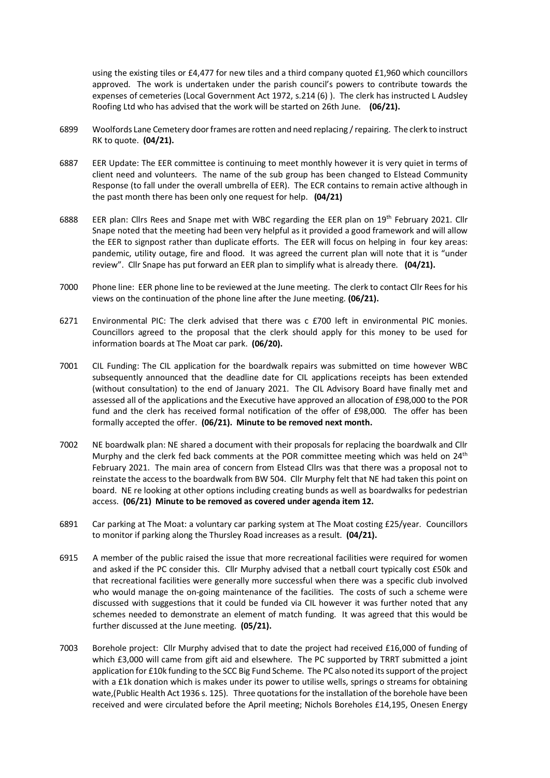using the existing tiles or £4,477 for new tiles and a third company quoted £1,960 which councillors approved. The work is undertaken under the parish council's powers to contribute towards the expenses of cemeteries (Local Government Act 1972, s.214 (6) ). The clerk has instructed L Audsley Roofing Ltd who has advised that the work will be started on 26th June. **(06/21).**

- 6899 Woolfords Lane Cemetery door frames are rotten and need replacing / repairing. The clerk to instruct RK to quote. **(04/21).**
- 6887 EER Update: The EER committee is continuing to meet monthly however it is very quiet in terms of client need and volunteers. The name of the sub group has been changed to Elstead Community Response (to fall under the overall umbrella of EER). The ECR contains to remain active although in the past month there has been only one request for help. **(04/21)**
- 6888 EER plan: Cllrs Rees and Snape met with WBC regarding the EER plan on 19<sup>th</sup> February 2021. Cllr Snape noted that the meeting had been very helpful as it provided a good framework and will allow the EER to signpost rather than duplicate efforts. The EER will focus on helping in four key areas: pandemic, utility outage, fire and flood. It was agreed the current plan will note that it is "under review". Cllr Snape has put forward an EER plan to simplify what is already there. **(04/21).**
- 7000 Phone line: EER phone line to be reviewed at the June meeting. The clerk to contact Cllr Rees for his views on the continuation of the phone line after the June meeting. **(06/21).**
- 6271 Environmental PIC: The clerk advised that there was c £700 left in environmental PIC monies. Councillors agreed to the proposal that the clerk should apply for this money to be used for information boards at The Moat car park. **(06/20).**
- 7001 CIL Funding: The CIL application for the boardwalk repairs was submitted on time however WBC subsequently announced that the deadline date for CIL applications receipts has been extended (without consultation) to the end of January 2021. The CIL Advisory Board have finally met and assessed all of the applications and the Executive have approved an allocation of £98,000 to the POR fund and the clerk has received formal notification of the offer of £98,000. The offer has been formally accepted the offer. **(06/21). Minute to be removed next month.**
- 7002 NE boardwalk plan: NE shared a document with their proposals for replacing the boardwalk and Cllr Murphy and the clerk fed back comments at the POR committee meeting which was held on  $24<sup>th</sup>$ February 2021. The main area of concern from Elstead Cllrs was that there was a proposal not to reinstate the access to the boardwalk from BW 504. Cllr Murphy felt that NE had taken this point on board. NE re looking at other options including creating bunds as well as boardwalks for pedestrian access. **(06/21) Minute to be removed as covered under agenda item 12.**
- 6891 Car parking at The Moat: a voluntary car parking system at The Moat costing £25/year. Councillors to monitor if parking along the Thursley Road increases as a result. **(04/21).**
- 6915 A member of the public raised the issue that more recreational facilities were required for women and asked if the PC consider this. Cllr Murphy advised that a netball court typically cost £50k and that recreational facilities were generally more successful when there was a specific club involved who would manage the on-going maintenance of the facilities. The costs of such a scheme were discussed with suggestions that it could be funded via CIL however it was further noted that any schemes needed to demonstrate an element of match funding. It was agreed that this would be further discussed at the June meeting. **(05/21).**
- 7003 Borehole project: Cllr Murphy advised that to date the project had received £16,000 of funding of which £3,000 will came from gift aid and elsewhere. The PC supported by TRRT submitted a joint application for £10k funding to the SCC Big Fund Scheme. The PC also noted its support of the project with a £1k donation which is makes under its power to utilise wells, springs o streams for obtaining wate,(Public Health Act 1936 s. 125). Three quotations for the installation of the borehole have been received and were circulated before the April meeting; Nichols Boreholes £14,195, Onesen Energy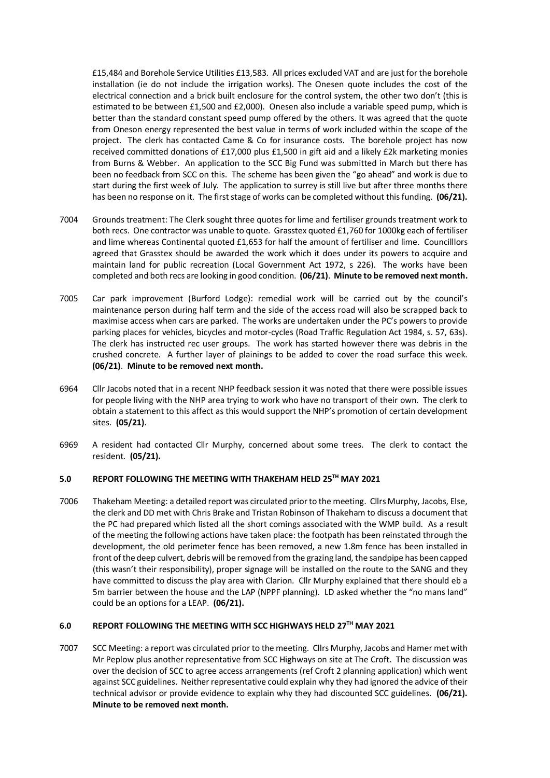£15,484 and Borehole Service Utilities £13,583. All prices excluded VAT and are just for the borehole installation (ie do not include the irrigation works). The Onesen quote includes the cost of the electrical connection and a brick built enclosure for the control system, the other two don't (this is estimated to be between £1,500 and £2,000). Onesen also include a variable speed pump, which is better than the standard constant speed pump offered by the others. It was agreed that the quote from Oneson energy represented the best value in terms of work included within the scope of the project. The clerk has contacted Came & Co for insurance costs. The borehole project has now received committed donations of £17,000 plus £1,500 in gift aid and a likely £2k marketing monies from Burns & Webber. An application to the SCC Big Fund was submitted in March but there has been no feedback from SCC on this. The scheme has been given the "go ahead" and work is due to start during the first week of July. The application to surrey is still live but after three months there has been no response on it. The first stage of works can be completed without this funding. **(06/21).**

- 7004 Grounds treatment: The Clerk sought three quotes for lime and fertiliser grounds treatment work to both recs. One contractor was unable to quote. Grasstex quoted £1,760 for 1000kg each of fertiliser and lime whereas Continental quoted £1,653 for half the amount of fertiliser and lime. Councilllors agreed that Grasstex should be awarded the work which it does under its powers to acquire and maintain land for public recreation (Local Government Act 1972, s 226). The works have been completed and both recs are looking in good condition. **(06/21)**. **Minute to be removed next month.**
- 7005 Car park improvement (Burford Lodge): remedial work will be carried out by the council's maintenance person during half term and the side of the access road will also be scrapped back to maximise access when cars are parked. The works are undertaken under the PC's powers to provide parking places for vehicles, bicycles and motor-cycles (Road Traffic Regulation Act 1984, s. 57, 63s). The clerk has instructed rec user groups. The work has started however there was debris in the crushed concrete. A further layer of plainings to be added to cover the road surface this week. **(06/21)**. **Minute to be removed next month.**
- 6964 Cllr Jacobs noted that in a recent NHP feedback session it was noted that there were possible issues for people living with the NHP area trying to work who have no transport of their own. The clerk to obtain a statement to this affect as this would support the NHP's promotion of certain development sites. **(05/21)**.
- 6969 A resident had contacted Cllr Murphy, concerned about some trees. The clerk to contact the resident. **(05/21).**

## **5.0 REPORT FOLLOWING THE MEETING WITH THAKEHAM HELD 25TH MAY 2021**

7006 Thakeham Meeting: a detailed report was circulated prior to the meeting. Cllrs Murphy, Jacobs, Else, the clerk and DD met with Chris Brake and Tristan Robinson of Thakeham to discuss a document that the PC had prepared which listed all the short comings associated with the WMP build. As a result of the meeting the following actions have taken place: the footpath has been reinstated through the development, the old perimeter fence has been removed, a new 1.8m fence has been installed in front of the deep culvert, debris will be removed from the grazing land, the sandpipe has been capped (this wasn't their responsibility), proper signage will be installed on the route to the SANG and they have committed to discuss the play area with Clarion. Cllr Murphy explained that there should eb a 5m barrier between the house and the LAP (NPPF planning). LD asked whether the "no mans land" could be an options for a LEAP. **(06/21).**

#### **6.0 REPORT FOLLOWING THE MEETING WITH SCC HIGHWAYS HELD 27TH MAY 2021**

7007 SCC Meeting: a report was circulated prior to the meeting. Cllrs Murphy, Jacobs and Hamer met with Mr Peplow plus another representative from SCC Highways on site at The Croft. The discussion was over the decision of SCC to agree access arrangements (ref Croft 2 planning application) which went against SCC guidelines. Neither representative could explain why they had ignored the advice of their technical advisor or provide evidence to explain why they had discounted SCC guidelines. **(06/21). Minute to be removed next month.**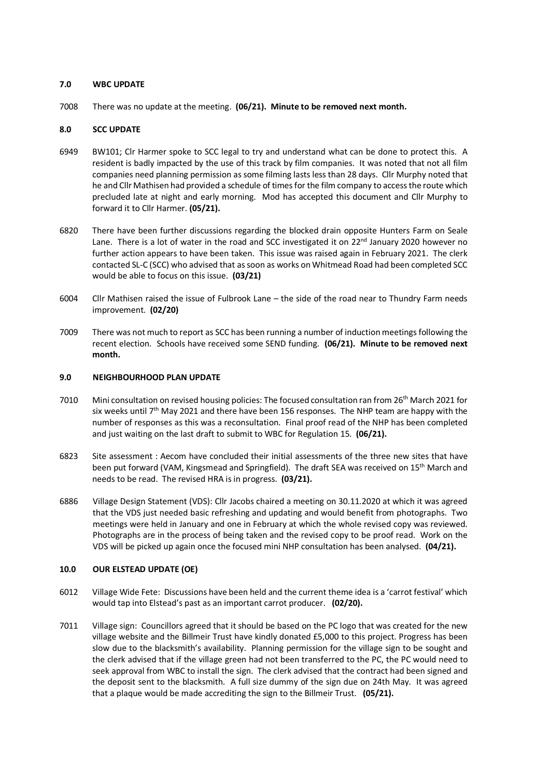#### **7.0 WBC UPDATE**

7008 There was no update at the meeting. **(06/21). Minute to be removed next month.**

### **8.0 SCC UPDATE**

- 6949 BW101; Clr Harmer spoke to SCC legal to try and understand what can be done to protect this. A resident is badly impacted by the use of this track by film companies. It was noted that not all film companies need planning permission as some filming lasts less than 28 days. Cllr Murphy noted that he and Cllr Mathisen had provided a schedule of times for the film company to access the route which precluded late at night and early morning. Mod has accepted this document and Cllr Murphy to forward it to Cllr Harmer. **(05/21).**
- 6820 There have been further discussions regarding the blocked drain opposite Hunters Farm on Seale Lane. There is a lot of water in the road and SCC investigated it on  $22^{nd}$  January 2020 however no further action appears to have been taken. This issue was raised again in February 2021. The clerk contacted SL-C (SCC) who advised that as soon as works on Whitmead Road had been completed SCC would be able to focus on this issue. **(03/21)**
- 6004 Cllr Mathisen raised the issue of Fulbrook Lane the side of the road near to Thundry Farm needs improvement. **(02/20)**
- 7009 There was not much to report as SCC has been running a number of induction meetings following the recent election. Schools have received some SEND funding. **(06/21). Minute to be removed next month.**

#### **9.0 NEIGHBOURHOOD PLAN UPDATE**

- 7010 Mini consultation on revised housing policies: The focused consultation ran from 26th March 2021 for six weeks until  $7<sup>th</sup>$  May 2021 and there have been 156 responses. The NHP team are happy with the number of responses as this was a reconsultation. Final proof read of the NHP has been completed and just waiting on the last draft to submit to WBC for Regulation 15. **(06/21).**
- 6823 Site assessment : Aecom have concluded their initial assessments of the three new sites that have been put forward (VAM, Kingsmead and Springfield). The draft SEA was received on 15<sup>th</sup> March and needs to be read. The revised HRA is in progress. **(03/21).**
- 6886 Village Design Statement (VDS): Cllr Jacobs chaired a meeting on 30.11.2020 at which it was agreed that the VDS just needed basic refreshing and updating and would benefit from photographs. Two meetings were held in January and one in February at which the whole revised copy was reviewed. Photographs are in the process of being taken and the revised copy to be proof read. Work on the VDS will be picked up again once the focused mini NHP consultation has been analysed. **(04/21).**

#### **10.0 OUR ELSTEAD UPDATE (OE)**

- 6012 Village Wide Fete: Discussions have been held and the current theme idea is a 'carrot festival' which would tap into Elstead's past as an important carrot producer. **(02/20).**
- 7011 Village sign: Councillors agreed that it should be based on the PC logo that was created for the new village website and the Billmeir Trust have kindly donated £5,000 to this project. Progress has been slow due to the blacksmith's availability. Planning permission for the village sign to be sought and the clerk advised that if the village green had not been transferred to the PC, the PC would need to seek approval from WBC to install the sign. The clerk advised that the contract had been signed and the deposit sent to the blacksmith. A full size dummy of the sign due on 24th May. It was agreed that a plaque would be made accrediting the sign to the Billmeir Trust. **(05/21).**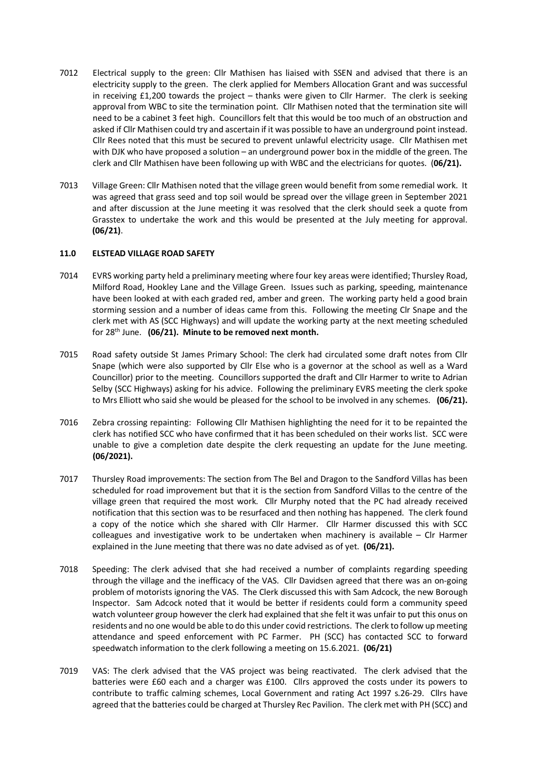- 7012 Electrical supply to the green: Cllr Mathisen has liaised with SSEN and advised that there is an electricity supply to the green. The clerk applied for Members Allocation Grant and was successful in receiving £1,200 towards the project – thanks were given to Cllr Harmer. The clerk is seeking approval from WBC to site the termination point. Cllr Mathisen noted that the termination site will need to be a cabinet 3 feet high. Councillors felt that this would be too much of an obstruction and asked if Cllr Mathisen could try and ascertain if it was possible to have an underground point instead. Cllr Rees noted that this must be secured to prevent unlawful electricity usage. Cllr Mathisen met with DJK who have proposed a solution – an underground power box in the middle of the green. The clerk and Cllr Mathisen have been following up with WBC and the electricians for quotes. (**06/21).**
- 7013 Village Green: Cllr Mathisen noted that the village green would benefit from some remedial work. It was agreed that grass seed and top soil would be spread over the village green in September 2021 and after discussion at the June meeting it was resolved that the clerk should seek a quote from Grasstex to undertake the work and this would be presented at the July meeting for approval. **(06/21)**.

#### **11.0 ELSTEAD VILLAGE ROAD SAFETY**

- 7014 EVRS working party held a preliminary meeting where four key areas were identified; Thursley Road, Milford Road, Hookley Lane and the Village Green. Issues such as parking, speeding, maintenance have been looked at with each graded red, amber and green. The working party held a good brain storming session and a number of ideas came from this. Following the meeting Clr Snape and the clerk met with AS (SCC Highways) and will update the working party at the next meeting scheduled for 28th June. **(06/21). Minute to be removed next month.**
- 7015 Road safety outside St James Primary School: The clerk had circulated some draft notes from Cllr Snape (which were also supported by Cllr Else who is a governor at the school as well as a Ward Councillor) prior to the meeting. Councillors supported the draft and Cllr Harmer to write to Adrian Selby (SCC Highways) asking for his advice. Following the preliminary EVRS meeting the clerk spoke to Mrs Elliott who said she would be pleased for the school to be involved in any schemes. **(06/21).**
- 7016 Zebra crossing repainting: Following Cllr Mathisen highlighting the need for it to be repainted the clerk has notified SCC who have confirmed that it has been scheduled on their works list. SCC were unable to give a completion date despite the clerk requesting an update for the June meeting. **(06/2021).**
- 7017 Thursley Road improvements: The section from The Bel and Dragon to the Sandford Villas has been scheduled for road improvement but that it is the section from Sandford Villas to the centre of the village green that required the most work. Cllr Murphy noted that the PC had already received notification that this section was to be resurfaced and then nothing has happened. The clerk found a copy of the notice which she shared with Cllr Harmer. Cllr Harmer discussed this with SCC colleagues and investigative work to be undertaken when machinery is available – Clr Harmer explained in the June meeting that there was no date advised as of yet. **(06/21).**
- 7018 Speeding: The clerk advised that she had received a number of complaints regarding speeding through the village and the inefficacy of the VAS. Cllr Davidsen agreed that there was an on-going problem of motorists ignoring the VAS. The Clerk discussed this with Sam Adcock, the new Borough Inspector. Sam Adcock noted that it would be better if residents could form a community speed watch volunteer group however the clerk had explained that she felt it was unfair to put this onus on residents and no one would be able to do this under covid restrictions. The clerk to follow up meeting attendance and speed enforcement with PC Farmer. PH (SCC) has contacted SCC to forward speedwatch information to the clerk following a meeting on 15.6.2021. **(06/21)**
- 7019 VAS: The clerk advised that the VAS project was being reactivated. The clerk advised that the batteries were £60 each and a charger was £100. Cllrs approved the costs under its powers to contribute to traffic calming schemes, Local Government and rating Act 1997 s.26-29. Cllrs have agreed that the batteries could be charged at Thursley Rec Pavilion. The clerk met with PH (SCC) and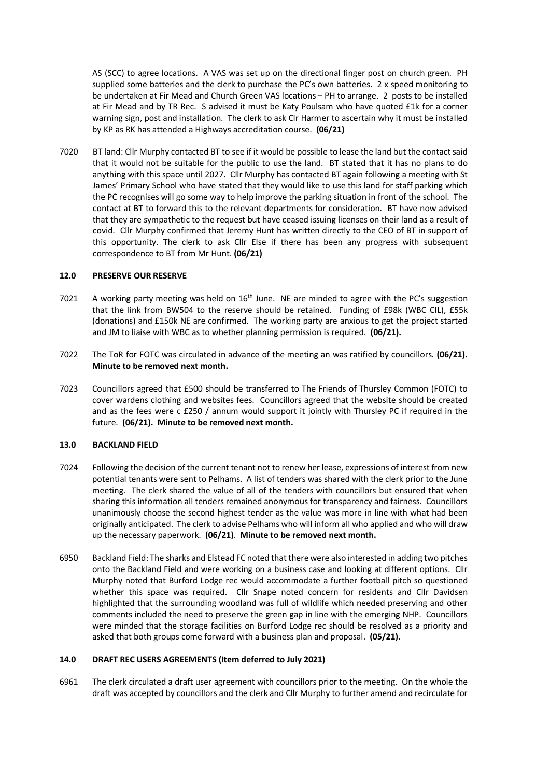AS (SCC) to agree locations. A VAS was set up on the directional finger post on church green. PH supplied some batteries and the clerk to purchase the PC's own batteries. 2 x speed monitoring to be undertaken at Fir Mead and Church Green VAS locations – PH to arrange. 2 posts to be installed at Fir Mead and by TR Rec. S advised it must be Katy Poulsam who have quoted £1k for a corner warning sign, post and installation. The clerk to ask Clr Harmer to ascertain why it must be installed by KP as RK has attended a Highways accreditation course. **(06/21)** 

7020 BT land: Cllr Murphy contacted BT to see if it would be possible to lease the land but the contact said that it would not be suitable for the public to use the land. BT stated that it has no plans to do anything with this space until 2027. Cllr Murphy has contacted BT again following a meeting with St James' Primary School who have stated that they would like to use this land for staff parking which the PC recognises will go some way to help improve the parking situation in front of the school. The contact at BT to forward this to the relevant departments for consideration. BT have now advised that they are sympathetic to the request but have ceased issuing licenses on their land as a result of covid. Cllr Murphy confirmed that Jeremy Hunt has written directly to the CEO of BT in support of this opportunity. The clerk to ask Cllr Else if there has been any progress with subsequent correspondence to BT from Mr Hunt. **(06/21)**

#### **12.0 PRESERVE OUR RESERVE**

- 7021 A working party meeting was held on  $16<sup>th</sup>$  June. NE are minded to agree with the PC's suggestion that the link from BW504 to the reserve should be retained. Funding of £98k (WBC CIL), £55k (donations) and £150k NE are confirmed. The working party are anxious to get the project started and JM to liaise with WBC as to whether planning permission is required. **(06/21).**
- 7022 The ToR for FOTC was circulated in advance of the meeting an was ratified by councillors. **(06/21). Minute to be removed next month.**
- 7023 Councillors agreed that £500 should be transferred to The Friends of Thursley Common (FOTC) to cover wardens clothing and websites fees. Councillors agreed that the website should be created and as the fees were c £250 / annum would support it jointly with Thursley PC if required in the future. **(06/21). Minute to be removed next month.**

## **13.0 BACKLAND FIELD**

- 7024 Following the decision of the current tenant not to renew her lease, expressions of interest from new potential tenants were sent to Pelhams. A list of tenders was shared with the clerk prior to the June meeting. The clerk shared the value of all of the tenders with councillors but ensured that when sharing this information all tenders remained anonymous for transparency and fairness. Councillors unanimously choose the second highest tender as the value was more in line with what had been originally anticipated. The clerk to advise Pelhams who will inform all who applied and who will draw up the necessary paperwork. **(06/21)**. **Minute to be removed next month.**
- 6950 Backland Field: The sharks and Elstead FC noted that there were also interested in adding two pitches onto the Backland Field and were working on a business case and looking at different options. Cllr Murphy noted that Burford Lodge rec would accommodate a further football pitch so questioned whether this space was required. Cllr Snape noted concern for residents and Cllr Davidsen highlighted that the surrounding woodland was full of wildlife which needed preserving and other comments included the need to preserve the green gap in line with the emerging NHP. Councillors were minded that the storage facilities on Burford Lodge rec should be resolved as a priority and asked that both groups come forward with a business plan and proposal. **(05/21).**

## **14.0 DRAFT REC USERS AGREEMENTS (Item deferred to July 2021)**

6961 The clerk circulated a draft user agreement with councillors prior to the meeting. On the whole the draft was accepted by councillors and the clerk and Cllr Murphy to further amend and recirculate for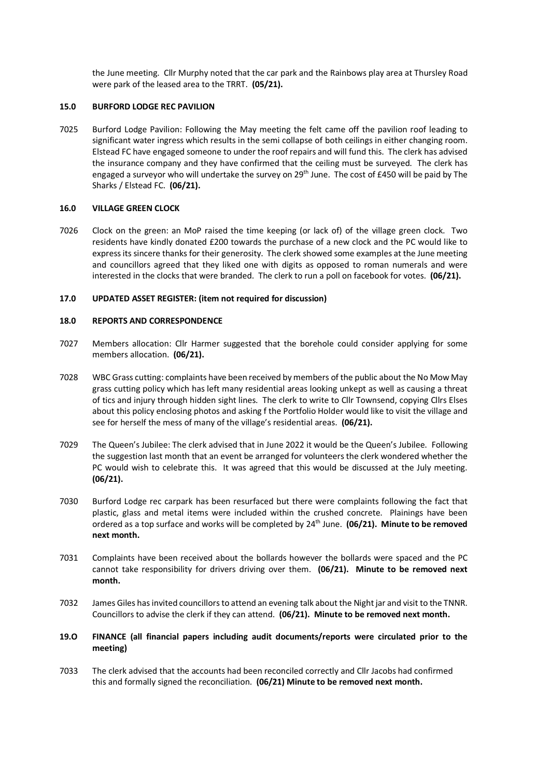the June meeting. Cllr Murphy noted that the car park and the Rainbows play area at Thursley Road were park of the leased area to the TRRT. **(05/21).** 

#### **15.0 BURFORD LODGE REC PAVILION**

7025 Burford Lodge Pavilion: Following the May meeting the felt came off the pavilion roof leading to significant water ingress which results in the semi collapse of both ceilings in either changing room. Elstead FC have engaged someone to under the roof repairs and will fund this. The clerk has advised the insurance company and they have confirmed that the ceiling must be surveyed. The clerk has engaged a surveyor who will undertake the survey on 29<sup>th</sup> June. The cost of £450 will be paid by The Sharks / Elstead FC. **(06/21).**

#### **16.0 VILLAGE GREEN CLOCK**

7026 Clock on the green: an MoP raised the time keeping (or lack of) of the village green clock. Two residents have kindly donated £200 towards the purchase of a new clock and the PC would like to express its sincere thanks for their generosity. The clerk showed some examples at the June meeting and councillors agreed that they liked one with digits as opposed to roman numerals and were interested in the clocks that were branded. The clerk to run a poll on facebook for votes. **(06/21).**

#### **17.0 UPDATED ASSET REGISTER: (item not required for discussion)**

#### **18.0 REPORTS AND CORRESPONDENCE**

- 7027 Members allocation: Cllr Harmer suggested that the borehole could consider applying for some members allocation. **(06/21).**
- 7028 WBC Grass cutting: complaints have been received by members of the public about the No Mow May grass cutting policy which has left many residential areas looking unkept as well as causing a threat of tics and injury through hidden sight lines. The clerk to write to Cllr Townsend, copying Cllrs Elses about this policy enclosing photos and asking f the Portfolio Holder would like to visit the village and see for herself the mess of many of the village's residential areas. **(06/21).**
- 7029 The Queen's Jubilee: The clerk advised that in June 2022 it would be the Queen's Jubilee. Following the suggestion last month that an event be arranged for volunteers the clerk wondered whether the PC would wish to celebrate this. It was agreed that this would be discussed at the July meeting. **(06/21).**
- 7030 Burford Lodge rec carpark has been resurfaced but there were complaints following the fact that plastic, glass and metal items were included within the crushed concrete. Plainings have been ordered as a top surface and works will be completed by 24<sup>th</sup> June. (06/21). Minute to be removed **next month.**
- 7031 Complaints have been received about the bollards however the bollards were spaced and the PC cannot take responsibility for drivers driving over them. **(06/21). Minute to be removed next month.**
- 7032 James Giles has invited councillors to attend an evening talk about the Night jar and visit to the TNNR. Councillors to advise the clerk if they can attend. **(06/21). Minute to be removed next month.**

## **19.O FINANCE (all financial papers including audit documents/reports were circulated prior to the meeting)**

7033 The clerk advised that the accounts had been reconciled correctly and Cllr Jacobs had confirmed this and formally signed the reconciliation. **(06/21) Minute to be removed next month.**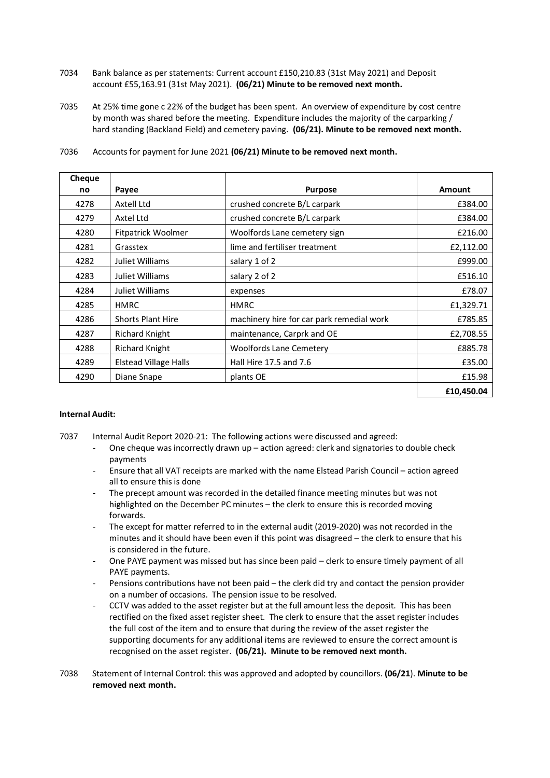- 7034 Bank balance as per statements: Current account £150,210.83 (31st May 2021) and Deposit account £55,163.91 (31st May 2021). **(06/21) Minute to be removed next month.**
- 7035 At 25% time gone c 22% of the budget has been spent. An overview of expenditure by cost centre by month was shared before the meeting. Expenditure includes the majority of the carparking / hard standing (Backland Field) and cemetery paving. **(06/21). Minute to be removed next month.**

| Cheque |                              |                                           |               |
|--------|------------------------------|-------------------------------------------|---------------|
| no     | Payee                        | <b>Purpose</b>                            | <b>Amount</b> |
| 4278   | Axtell Ltd                   | crushed concrete B/L carpark              | £384.00       |
| 4279   | Axtel Ltd                    | crushed concrete B/L carpark              | £384.00       |
| 4280   | Fitpatrick Woolmer           | Woolfords Lane cemetery sign              | £216.00       |
| 4281   | Grasstex                     | lime and fertiliser treatment             | £2,112.00     |
| 4282   | Juliet Williams              | salary 1 of 2                             | £999.00       |
| 4283   | Juliet Williams              | salary 2 of 2                             | £516.10       |
| 4284   | Juliet Williams              | expenses                                  | £78.07        |
| 4285   | <b>HMRC</b>                  | <b>HMRC</b>                               | £1,329.71     |
| 4286   | <b>Shorts Plant Hire</b>     | machinery hire for car park remedial work | £785.85       |
| 4287   | <b>Richard Knight</b>        | maintenance, Carprk and OE                | £2,708.55     |
| 4288   | <b>Richard Knight</b>        | <b>Woolfords Lane Cemetery</b>            | £885.78       |
| 4289   | <b>Elstead Village Halls</b> | Hall Hire 17.5 and 7.6                    | £35.00        |
| 4290   | Diane Snape                  | plants OE                                 | £15.98        |
|        |                              |                                           | £10,450.04    |

7036 Accounts for payment for June 2021 **(06/21) Minute to be removed next month.**

## **Internal Audit:**

- 7037 Internal Audit Report 2020-21: The following actions were discussed and agreed:
	- One cheque was incorrectly drawn up action agreed: clerk and signatories to double check payments
	- Ensure that all VAT receipts are marked with the name Elstead Parish Council action agreed all to ensure this is done
	- The precept amount was recorded in the detailed finance meeting minutes but was not highlighted on the December PC minutes – the clerk to ensure this is recorded moving forwards.
	- The except for matter referred to in the external audit (2019-2020) was not recorded in the minutes and it should have been even if this point was disagreed – the clerk to ensure that his is considered in the future.
	- One PAYE payment was missed but has since been paid clerk to ensure timely payment of all PAYE payments.
	- Pensions contributions have not been paid the clerk did try and contact the pension provider on a number of occasions. The pension issue to be resolved.
	- CCTV was added to the asset register but at the full amount less the deposit. This has been rectified on the fixed asset register sheet. The clerk to ensure that the asset register includes the full cost of the item and to ensure that during the review of the asset register the supporting documents for any additional items are reviewed to ensure the correct amount is recognised on the asset register. **(06/21). Minute to be removed next month.**
- 7038 Statement of Internal Control: this was approved and adopted by councillors. **(06/21**). **Minute to be removed next month.**